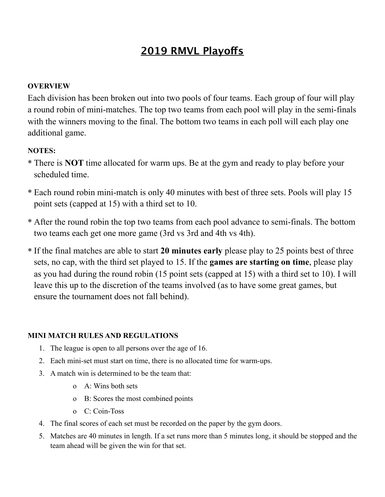### **2019 RMVL Playofs**

### **OVERVIEW**

Each division has been broken out into two pools of four teams. Each group of four will play a round robin of mini-matches. The top two teams from each pool will play in the semi-finals with the winners moving to the final. The bottom two teams in each poll will each play one additional game.

### **NOTES:**

- \* There is **NOT** time allocated for warm ups. Be at the gym and ready to play before your scheduled time.
- \* Each round robin mini-match is only 40 minutes with best of three sets. Pools will play 15 point sets (capped at 15) with a third set to 10.
- \* After the round robin the top two teams from each pool advance to semi-finals. The bottom two teams each get one more game (3rd vs 3rd and 4th vs 4th).
- \* If the final matches are able to start **20 minutes early** please play to 25 points best of three sets, no cap, with the third set played to 15. If the **games are starting on time**, please play as you had during the round robin (15 point sets (capped at 15) with a third set to 10). I will leave this up to the discretion of the teams involved (as to have some great games, but ensure the tournament does not fall behind).

### **MINI MATCH RULES AND REGULATIONS**

- 1. The league is open to all persons over the age of 16.
- 2. Each mini-set must start on time, there is no allocated time for warm-ups.
- 3. A match win is determined to be the team that:
	- o A: Wins both sets
	- o B: Scores the most combined points
	- o C: Coin-Toss
- 4. The final scores of each set must be recorded on the paper by the gym doors.
- 5. Matches are 40 minutes in length. If a set runs more than 5 minutes long, it should be stopped and the team ahead will be given the win for that set.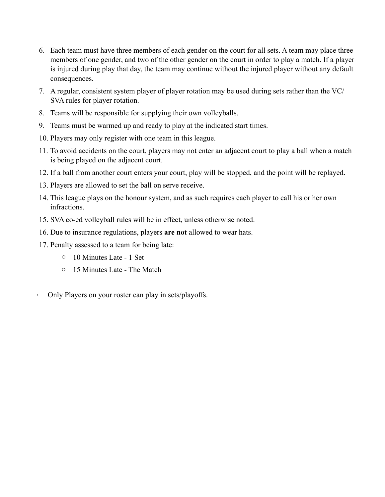- 6. Each team must have three members of each gender on the court for all sets. A team may place three members of one gender, and two of the other gender on the court in order to play a match. If a player is injured during play that day, the team may continue without the injured player without any default consequences.
- 7. A regular, consistent system player of player rotation may be used during sets rather than the VC/ SVA rules for player rotation.
- 8. Teams will be responsible for supplying their own volleyballs.
- 9. Teams must be warmed up and ready to play at the indicated start times.
- 10. Players may only register with one team in this league.
- 11. To avoid accidents on the court, players may not enter an adjacent court to play a ball when a match is being played on the adjacent court.
- 12. If a ball from another court enters your court, play will be stopped, and the point will be replayed.
- 13. Players are allowed to set the ball on serve receive.
- 14. This league plays on the honour system, and as such requires each player to call his or her own infractions.
- 15. SVA co-ed volleyball rules will be in effect, unless otherwise noted.
- 16. Due to insurance regulations, players **are not** allowed to wear hats.
- 17. Penalty assessed to a team for being late:
	- o 10 Minutes Late 1 Set
	- o 15 Minutes Late The Match
- Only Players on your roster can play in sets/playoffs.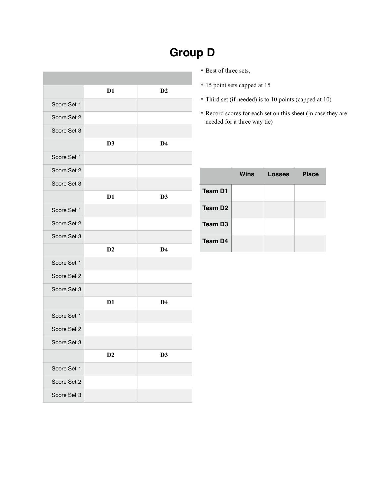|             | D1             | D2             |
|-------------|----------------|----------------|
| Score Set 1 |                |                |
| Score Set 2 |                |                |
| Score Set 3 |                |                |
|             | D <sub>3</sub> | D <sub>4</sub> |
| Score Set 1 |                |                |
| Score Set 2 |                |                |
| Score Set 3 |                |                |
|             | D <sub>1</sub> | D3             |
| Score Set 1 |                |                |
| Score Set 2 |                |                |
| Score Set 3 |                |                |
|             | D2             | D <sub>4</sub> |
| Score Set 1 |                |                |
| Score Set 2 |                |                |
| Score Set 3 |                |                |
|             | D <sub>1</sub> | D <sub>4</sub> |
| Score Set 1 |                |                |
| Score Set 2 |                |                |
| Score Set 3 |                |                |
|             | D2             | D <sub>3</sub> |
| Score Set 1 |                |                |
| Score Set 2 |                |                |
| Score Set 3 |                |                |

### **Group D**

- \* Best of three sets,
- \* 15 point sets capped at 15
- \* Third set (if needed) is to 10 points (capped at 10)
- \* Record scores for each set on this sheet (in case they are needed for a three way tie)

|                     | Wins | Losses | <b>Place</b> |
|---------------------|------|--------|--------------|
| <b>Team D1</b>      |      |        |              |
| Team D <sub>2</sub> |      |        |              |
| Team D <sub>3</sub> |      |        |              |
| Team D4             |      |        |              |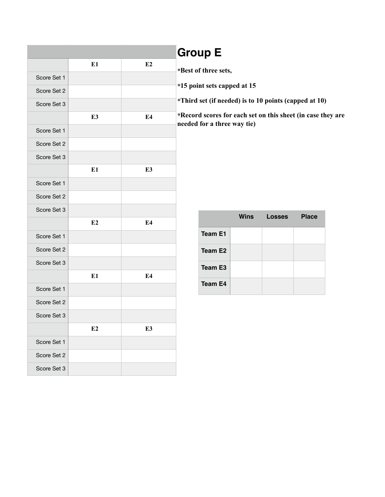|             |                |                | <b>Group E</b>                                                                             |             |               |              |  |
|-------------|----------------|----------------|--------------------------------------------------------------------------------------------|-------------|---------------|--------------|--|
|             | E1             | E2             | *Best of three sets,                                                                       |             |               |              |  |
| Score Set 1 |                |                | *15 point sets capped at 15                                                                |             |               |              |  |
| Score Set 2 |                |                |                                                                                            |             |               |              |  |
| Score Set 3 |                |                | *Third set (if needed) is to 10 points (capped at 10)                                      |             |               |              |  |
|             | E <sub>3</sub> | E4             | *Record scores for each set on this sheet (in case they are<br>needed for a three way tie) |             |               |              |  |
| Score Set 1 |                |                |                                                                                            |             |               |              |  |
| Score Set 2 |                |                |                                                                                            |             |               |              |  |
| Score Set 3 |                |                |                                                                                            |             |               |              |  |
|             | E1             | E <sub>3</sub> |                                                                                            |             |               |              |  |
| Score Set 1 |                |                |                                                                                            |             |               |              |  |
| Score Set 2 |                |                |                                                                                            |             |               |              |  |
| Score Set 3 |                |                |                                                                                            | <b>Wins</b> | <b>Losses</b> | <b>Place</b> |  |
|             | E2             | E4             |                                                                                            |             |               |              |  |
| Score Set 1 |                |                | <b>Team E1</b>                                                                             |             |               |              |  |
| Score Set 2 |                |                | Team E <sub>2</sub>                                                                        |             |               |              |  |
| Score Set 3 |                |                | <b>Team E3</b>                                                                             |             |               |              |  |
|             | E1             | E4             |                                                                                            |             |               |              |  |
| Score Set 1 |                |                | Team E4                                                                                    |             |               |              |  |
| Score Set 2 |                |                |                                                                                            |             |               |              |  |
| Score Set 3 |                |                |                                                                                            |             |               |              |  |
|             | E2             | E3             |                                                                                            |             |               |              |  |
| Score Set 1 |                |                |                                                                                            |             |               |              |  |
| Score Set 2 |                |                |                                                                                            |             |               |              |  |
| Score Set 3 |                |                |                                                                                            |             |               |              |  |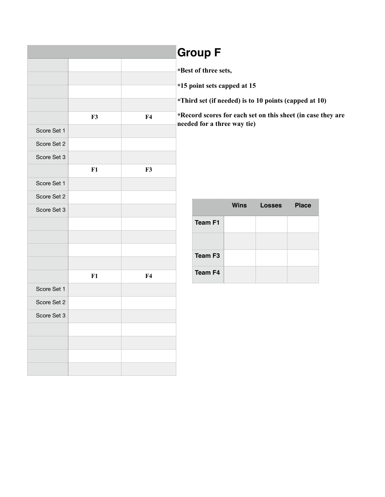|             |    |    | <b>Group F</b>              |             |                                                             |              |  |
|-------------|----|----|-----------------------------|-------------|-------------------------------------------------------------|--------------|--|
|             |    |    | *Best of three sets,        |             |                                                             |              |  |
|             |    |    | *15 point sets capped at 15 |             |                                                             |              |  |
|             |    |    |                             |             | *Third set (if needed) is to 10 points (capped at 10)       |              |  |
|             | F3 | F4 |                             |             | *Record scores for each set on this sheet (in case they are |              |  |
| Score Set 1 |    |    | needed for a three way tie) |             |                                                             |              |  |
| Score Set 2 |    |    |                             |             |                                                             |              |  |
| Score Set 3 |    |    |                             |             |                                                             |              |  |
|             | F1 | F3 |                             |             |                                                             |              |  |
| Score Set 1 |    |    |                             |             |                                                             |              |  |
| Score Set 2 |    |    |                             |             |                                                             |              |  |
| Score Set 3 |    |    |                             | <b>Wins</b> | <b>Losses</b>                                               | <b>Place</b> |  |
|             |    |    | <b>Team F1</b>              |             |                                                             |              |  |
|             |    |    |                             |             |                                                             |              |  |
|             |    |    | <b>Team F3</b>              |             |                                                             |              |  |
|             |    |    |                             |             |                                                             |              |  |
|             | F1 | F4 | Team F4                     |             |                                                             |              |  |
| Score Set 1 |    |    |                             |             |                                                             |              |  |
| Score Set 2 |    |    |                             |             |                                                             |              |  |
| Score Set 3 |    |    |                             |             |                                                             |              |  |
|             |    |    |                             |             |                                                             |              |  |
|             |    |    |                             |             |                                                             |              |  |
|             |    |    |                             |             |                                                             |              |  |
|             |    |    |                             |             |                                                             |              |  |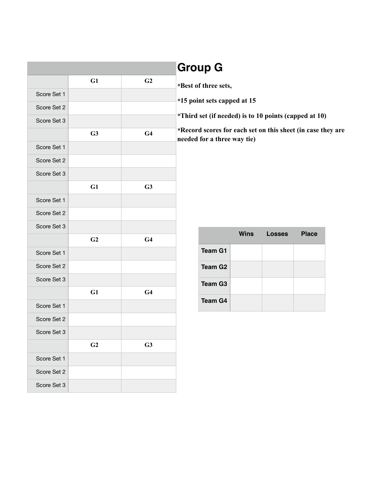| <b>Group G</b>                       |                |                |             |
|--------------------------------------|----------------|----------------|-------------|
| *Best of three se                    | G <sub>2</sub> | G1             |             |
| *15 point sets ca                    |                |                | Score Set 1 |
|                                      |                |                | Score Set 2 |
| *Third set (if ne                    |                |                | Score Set 3 |
| *Record scores i<br>needed for a thr | G <sub>4</sub> | G3             |             |
|                                      |                |                | Score Set 1 |
|                                      |                |                | Score Set 2 |
|                                      |                |                | Score Set 3 |
|                                      | G3             | G1             |             |
|                                      |                |                | Score Set 1 |
|                                      |                |                | Score Set 2 |
|                                      |                |                | Score Set 3 |
|                                      | G <sub>4</sub> | G <sub>2</sub> |             |
| Team G                               |                |                | Score Set 1 |
| Team G                               |                |                | Score Set 2 |
| Team G                               |                |                | Score Set 3 |
|                                      | G <sub>4</sub> | G1             |             |
| Team G                               |                |                | Score Set 1 |
|                                      |                |                | Score Set 2 |
|                                      |                |                | Score Set 3 |
|                                      | G <sub>3</sub> | G <sub>2</sub> |             |
|                                      |                |                | Score Set 1 |
|                                      |                |                | Score Set 2 |
|                                      |                |                | Score Set 3 |

| *Best of three sets,                                                                       |
|--------------------------------------------------------------------------------------------|
| *15 point sets capped at 15                                                                |
| *Third set (if needed) is to 10 points (capped at 10)                                      |
| *Record scores for each set on this sheet (in case they are<br>needed for a three way tie) |

|                     | <b>Wins</b> | Losses | <b>Place</b> |
|---------------------|-------------|--------|--------------|
| <b>Team G1</b>      |             |        |              |
| Team G <sub>2</sub> |             |        |              |
| Team G <sub>3</sub> |             |        |              |
| <b>Team G4</b>      |             |        |              |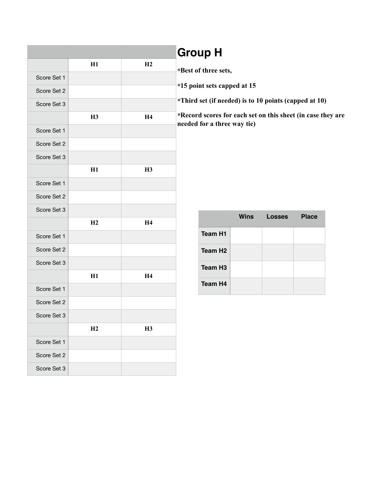|             |    |                | <b>Group H</b>                                              |             |               |              |  |
|-------------|----|----------------|-------------------------------------------------------------|-------------|---------------|--------------|--|
|             | H1 | H2             | *Best of three sets,                                        |             |               |              |  |
| Score Set 1 |    |                |                                                             |             |               |              |  |
| Score Set 2 |    |                | *15 point sets capped at 15                                 |             |               |              |  |
| Score Set 3 |    |                | *Third set (if needed) is to 10 points (capped at 10)       |             |               |              |  |
|             | H3 | H <sub>4</sub> | *Record scores for each set on this sheet (in case they are |             |               |              |  |
| Score Set 1 |    |                | needed for a three way tie)                                 |             |               |              |  |
| Score Set 2 |    |                |                                                             |             |               |              |  |
| Score Set 3 |    |                |                                                             |             |               |              |  |
|             | H1 | H3             |                                                             |             |               |              |  |
| Score Set 1 |    |                |                                                             |             |               |              |  |
| Score Set 2 |    |                |                                                             |             |               |              |  |
| Score Set 3 |    |                |                                                             | <b>Wins</b> | <b>Losses</b> | <b>Place</b> |  |
|             | H2 | H <sub>4</sub> |                                                             |             |               |              |  |
| Score Set 1 |    |                | <b>Team H1</b>                                              |             |               |              |  |
| Score Set 2 |    |                | Team H <sub>2</sub>                                         |             |               |              |  |
| Score Set 3 |    |                | <b>Team H3</b>                                              |             |               |              |  |
|             | H1 | H <sub>4</sub> |                                                             |             |               |              |  |
| Score Set 1 |    |                | Team H4                                                     |             |               |              |  |
| Score Set 2 |    |                |                                                             |             |               |              |  |
| Score Set 3 |    |                |                                                             |             |               |              |  |
|             | H2 | H3             |                                                             |             |               |              |  |
| Score Set 1 |    |                |                                                             |             |               |              |  |
| Score Set 2 |    |                |                                                             |             |               |              |  |
| Score Set 3 |    |                |                                                             |             |               |              |  |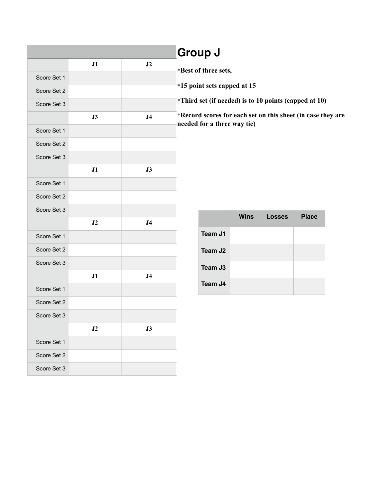|             |    |                | <b>Group J</b>                                             |
|-------------|----|----------------|------------------------------------------------------------|
|             | J1 | J2             | *Best of three sets,                                       |
| Score Set 1 |    |                |                                                            |
| Score Set 2 |    |                | *15 point sets capped at 15                                |
| Score Set 3 |    |                | *Third set (if needed) is to                               |
|             | J3 | J <sub>4</sub> | *Record scores for each set<br>needed for a three way tie) |
| Score Set 1 |    |                |                                                            |
| Score Set 2 |    |                |                                                            |
| Score Set 3 |    |                |                                                            |
|             | J1 | $\bf J3$       |                                                            |
| Score Set 1 |    |                |                                                            |
| Score Set 2 |    |                |                                                            |
| Score Set 3 |    |                |                                                            |
|             | J2 | J <sub>4</sub> | Wins                                                       |
| Score Set 1 |    |                | Team J1                                                    |
| Score Set 2 |    |                | Team J <sub>2</sub>                                        |
| Score Set 3 |    |                | Team J3                                                    |
|             | J1 | J <sub>4</sub> |                                                            |
| Score Set 1 |    |                | Team J4                                                    |
| Score Set 2 |    |                |                                                            |
| Score Set 3 |    |                |                                                            |
|             | J2 | J3             |                                                            |
| Score Set 1 |    |                |                                                            |
| Score Set 2 |    |                |                                                            |
| Score Set 3 |    |                |                                                            |

| <b>UIVUN U</b>                                              |
|-------------------------------------------------------------|
| *Best of three sets,                                        |
| *15 point sets capped at 15                                 |
| *Third set (if needed) is to 10 points (capped at 10)       |
| *Record scores for each set on this sheet (in case they are |

|                     | <b>Wins</b> | <b>Losses</b> | <b>Place</b> |
|---------------------|-------------|---------------|--------------|
| Team J1             |             |               |              |
| Team J <sub>2</sub> |             |               |              |
| Team J <sub>3</sub> |             |               |              |
| Team J4             |             |               |              |

### **Group J**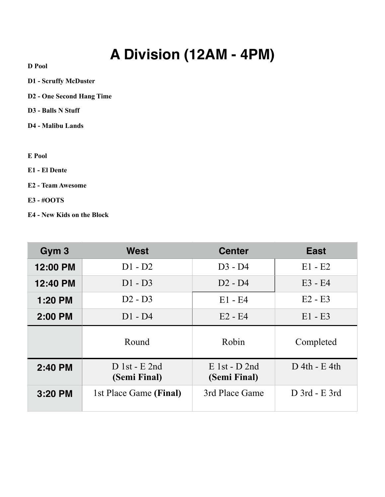# **A Division (12AM - 4PM)**

**D Pool** 

- **D1 Scruffy McDuster**
- **D2 One Second Hang Time**
- **D3 Balls N Stuff**
- **D4 Malibu Lands**

#### **E Pool**

- **E1 El Dente**
- **E2 Team Awesome**
- **E3 #OOTS**
- **E4 New Kids on the Block**

| Gym <sub>3</sub> | West                            | <b>Center</b>                   | <b>East</b>     |
|------------------|---------------------------------|---------------------------------|-----------------|
| 12:00 PM         | $D1 - D2$                       | $D3 - D4$                       | $E1 - E2$       |
| 12:40 PM         | $D1 - D3$                       | $D2 - D4$                       | $E3 - E4$       |
| 1:20 PM          | $D2 - D3$                       | $E1 - E4$                       | $E2 - E3$       |
| 2:00 PM          | $D1 - D4$                       | $E2 - E4$                       | $E1 - E3$       |
|                  | Round                           | Robin                           | Completed       |
| 2:40 PM          | $D$ 1st - E 2nd<br>(Semi Final) | $E$ 1st - D 2nd<br>(Semi Final) | $D$ 4th - E 4th |
| $3:20$ PM        | 1st Place Game (Final)          | 3rd Place Game                  | D 3rd - E 3rd   |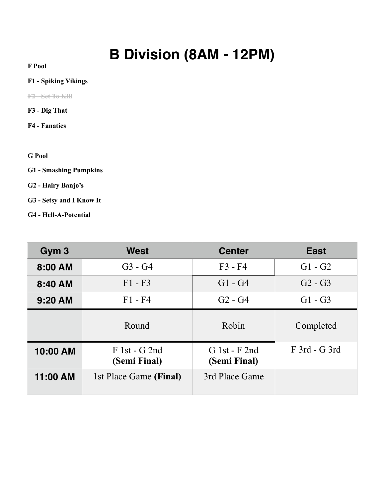# **B Division (8AM - 12PM)**

**F Pool** 

#### **F1 - Spiking Vikings**

**F2 - Set To Kill**

- **F3 Dig That**
- **F4 Fanatics**
- **G Pool**
- **G1 Smashing Pumpkins**
- **G2 Hairy Banjo's**
- **G3 Setsy and I Know It**
- **G4 Hell-A-Potential**

| Gym <sub>3</sub> | West                            | <b>Center</b>                   | <b>East</b>     |
|------------------|---------------------------------|---------------------------------|-----------------|
| 8:00 AM          | $G3 - G4$                       | $F3 - F4$                       | $G1 - G2$       |
| 8:40 AM          | $F1 - F3$                       | $G1 - G4$                       | $G2 - G3$       |
| $9:20$ AM        | $F1 - F4$                       | $G2 - G4$                       | $G1 - G3$       |
|                  | Round                           | Robin                           | Completed       |
| 10:00 AM         | $F 1st - G 2nd$<br>(Semi Final) | $G$ 1st - F 2nd<br>(Semi Final) | $F$ 3rd - G 3rd |
| 11:00 AM         | 1st Place Game (Final)          | 3rd Place Game                  |                 |